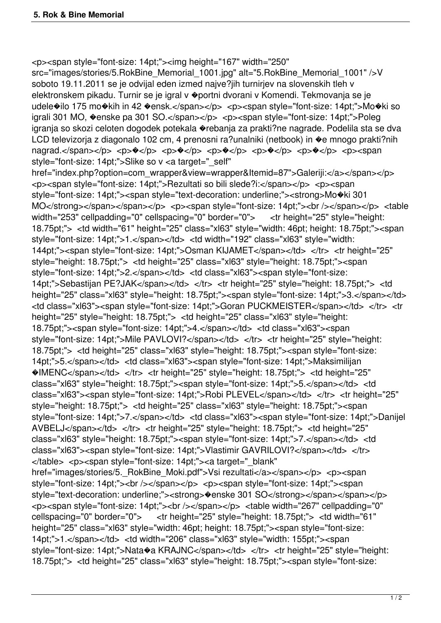<p><span style="font-size: 14pt;"><img height="167" width="250" src="images/stories/5.RokBine\_Memorial\_1001.jpg" alt="5.RokBine\_Memorial\_1001" />V soboto 19.11.2011 se je odvijal eden izmed najve?jih turnirjev na slovenskih tleh v elektronskem pikadu. Turnir se je igral v �portni dvorani v Komendi. Tekmovanja se je udele�ilo 175 mo�kih in 42 �ensk.</span></p> <p><span style="font-size: 14pt;">Mo�ki so igrali 301 MO, �enske pa 301 SO.</span></p> <p><span style="font-size: 14pt;">Poleg igranja so skozi celoten dogodek potekala �rebanja za prakti?ne nagrade. Podelila sta se dva LCD televizorja z diagonalo 102 cm, 4 prenosni ra?unalniki (netbook) in �e mnogo prakti?nih  $n$ agrad.</span></p> <p> $\sqrt{p}$  <p> $\sqrt{p}$  <p> $\sqrt{p}$  <p> $\sqrt{p}$  <p> $\sqrt{p}$  <p> $\sqrt{p}$  <p> $\sqrt{p}$  <p> $\sqrt{p}$  <p><span style="font-size: 14pt;">Slike so v <a target="\_self" href="index.php?option=com\_wrapper&view=wrapper&Itemid=87">Galeriji:</a></span></p> <p><span style="font-size: 14pt;">Rezultati so bili slede?i:</span></p> <p><span style="font-size: 14pt;"><span style="text-decoration: underline;"><strong>Mo�ki 301 MO</strong></span></span></p> </p> <p><span style="font-size: 14pt;"><br />>/> /></span></p> </able width="253" cellpadding="0" cellspacing="0" border="0"> <tr height="25" style="height: 18.75pt;"> <td width="61" height="25" class="xl63" style="width: 46pt; height: 18.75pt;"><span style="font-size: 14pt;">1.</span></td> <td width="192" class="xl63" style="width: 144pt;"><span style="font-size: 14pt;">Osman KIJAMET</span></td> </tr> <tr height="25" style="height: 18.75pt;"> <td height="25" class="xl63" style="height: 18.75pt;"><span style="font-size: 14pt;">2.</span></td> <td class="xl63"><span style="font-size: 14pt;">Sebastijan PE?JAK</span></td> </tr> <tr height="25" style="height: 18.75pt;"> <td height="25" class="xl63" style="height: 18.75pt;"><span style="font-size: 14pt;">3.</span></td> <td class="xl63"><span style="font-size: 14pt;">Goran PUCKMEISTER</span></td> </tr> <tr height="25" style="height: 18.75pt;"> <td height="25" class="xl63" style="height: 18.75pt;"><span style="font-size: 14pt;">4.</span></td> <td class="xl63"><span style="font-size: 14pt;">Mile PAVLOVI?</span></td> </tr> <tr height="25" style="height: 18.75pt;"> <td height="25" class="xl63" style="height: 18.75pt;"><span style="font-size: 14pt;">5.</span></td> <td class="xl63"><span style="font-size: 14pt;">Maksimilijan �IMENC</span></td> </tr> <tr height="25" style="height: 18.75pt;"> <td height="25" class="xl63" style="height: 18.75pt;"><span style="font-size: 14pt;">5.</span></td> <td class="xl63"><span style="font-size: 14pt;">Robi PLEVEL</span></td> </tr> </tr height="25" style="height: 18.75pt;"> <td height="25" class="xl63" style="height: 18.75pt;"><span style="font-size: 14pt;">7.</span></td> <td class="xl63"><span style="font-size: 14pt;">Danijel AVBELJ</span></td> </tr> <tr height="25" style="height: 18.75pt;"> <td height="25" class="xl63" style="height: 18.75pt;"><span style="font-size: 14pt;">7.</span></td> <td class="xl63"><span style="font-size: 14pt;">Vlastimir GAVRILOVI?</span></td> </tr> </table> <p><span style="font-size: 14pt;"><a target="\_blank" href="images/stories/5. RokBine Moki.pdf">Vsi rezultati</a></span></p> <p><span style="font-size: 14pt;"><br />>>/>></p></p></p><span style="font-size: 14pt;"><span style="text-decoration: underline;"><strong> $\bullet$ enske 301 SO</strong></span></span></p> <p><span style="font-size: 14pt;"><br /></span></p> <table width="267" cellpadding="0" cellspacing="0" border="0"> <tr height="25" style="height: 18.75pt;"> <td width="61" height="25" class="xl63" style="width: 46pt; height: 18.75pt;"><span style="font-size: 14pt;">1.</span></td> <td width="206" class="xl63" style="width: 155pt;"><span style="font-size: 14pt:">Nata�a KRAJNC</span></td> </tr> <tr height="25" style="height: 18.75pt;"> <td height="25" class="xl63" style="height: 18.75pt;"><span style="font-size: